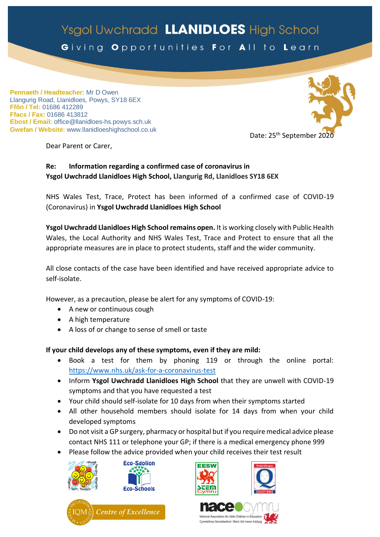## Ysgol Uwchradd LLANIDLOES High School Giving Opportunities For All to Learn

**Pennaeth / Headteacher:** Mr D Owen Llangurig Road, Llanidloes, Powys, SY18 6EX **Ffôn / Tel:** 01686 412289 **Ffacs / Fax:** 01686 413812 **Ebost / Email:** office@llanidloes-hs.powys.sch.uk **Gwefan / Website:** www.llanidloeshighschool.co.uk



Dear Parent or Carer,

## **Re: Information regarding a confirmed case of coronavirus in Ysgol Uwchradd Llanidloes High School, Llangurig Rd, Llanidloes SY18 6EX**

NHS Wales Test, Trace, Protect has been informed of a confirmed case of COVID-19 (Coronavirus) in **Ysgol Uwchradd Llanidloes High School**

**Ysgol Uwchradd Llanidloes High School remains open.** It is working closely with Public Health Wales, the Local Authority and NHS Wales Test, Trace and Protect to ensure that all the appropriate measures are in place to protect students, staff and the wider community.

All close contacts of the case have been identified and have received appropriate advice to self-isolate.

However, as a precaution, please be alert for any symptoms of COVID-19:

- A new or continuous cough
- A high temperature
- A loss of or change to sense of smell or taste

## **If your child develops any of these symptoms, even if they are mild:**

- Book a test for them by phoning 119 or through the online portal: <https://www.nhs.uk/ask-for-a-coronavirus-test>
- Inform **Ysgol Uwchradd Llanidloes High School** that they are unwell with COVID-19 symptoms and that you have requested a test
- Your child should self-isolate for 10 days from when their symptoms started
- All other household members should isolate for 14 days from when your child developed symptoms
- Do not visit a GP surgery, pharmacy or hospital but if you require medical advice please contact NHS 111 or telephone your GP; if there is a medical emergency phone 999
- Please follow the advice provided when your child receives their test result